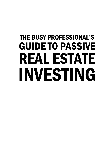# THE BUSY PROFESSIONAL'S GUIDE TO PASSIVE REAL ESTATE INVESTING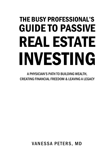# THE BUSY PROFESSIONAL'S GUIDE TO PASSIVE REAL ESTATE INVESTING

A PHYSICIAN'S PATH TO BUILDING WEALTH, CREATING FINANCIAL FREEDOM & LEAVING A LEGACY

VANESSA PETERS, MD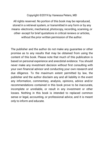#### Copyright ©2019 by Vanessa Peters, MD

All rights reserved. No portion of this book may be reproduced, stored in a retrieval system, or transmitted in any form or by any means- electronic, mechanical, photocopy, recording, scanning, or other- except for brief quotations in critical reviews or articles, without the prior written permission of the author.

The publisher and the author do not make any guarantee or other promise as to any results that may be obtained from using the content of this book. Please note that much of this publication is based on personal experience and anecdotal evidence. You should never make any investment decision without first consulting with your own financial advisor and conducting your own research and due diligence. To the maximum extent permitted by law, the publisher and the author disclaim any and all liability in the event any information, commentary, analysis, opinions, advice and/or recommendations contained in this book prove to be inaccurate, incomplete or unreliable, or result in any investment or other losses. Nothing in this book is intended to replaced common sense or legal, accounting, or professional advice, and it is meant only to inform and educate.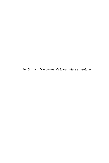*For Griff and Mason—here's to our future adventures*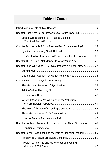# Table of Contents

| Chapter One: What Is NOT Passive Real Estate Investing?  13        |
|--------------------------------------------------------------------|
| Speed Bumps on the Fast Track to Building                          |
| Chapter Two: What Is TRULY Passive Real Estate Investing? 19       |
|                                                                    |
| Dr. V's Step-by-Step Guide to Passive Real Estate Investing 20     |
| Chapter Three: Time-Not Money-Is What You're After  23             |
| Chapter Four: Why Does Dr. V Invest Passively in Real Estate?  27  |
|                                                                    |
| Getting Clear About What Money Means to You 33                     |
|                                                                    |
|                                                                    |
|                                                                    |
|                                                                    |
| What's It Worth to Ya? A Primer on the Valuation                   |
|                                                                    |
|                                                                    |
|                                                                    |
| Chapter Six: More Answers to Your Questions About Syndications  49 |
|                                                                    |
| Chapter Seven: Roadblocks on the Path to Financial Freedom 59      |
|                                                                    |
| Problem 2: The Wild and Wooly West of Investing                    |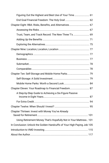| Figuring Out the Highest and Best Use of Your Time  61                 |
|------------------------------------------------------------------------|
|                                                                        |
| Chapter Eight: RBA: Risks, Benefits, and Alternatives 67               |
|                                                                        |
| Trust, Team, and Track Record: The New Three T's  69                   |
|                                                                        |
|                                                                        |
|                                                                        |
|                                                                        |
|                                                                        |
|                                                                        |
|                                                                        |
| Chapter Ten: Self-Storage and Mobile Home Parks 79                     |
|                                                                        |
|                                                                        |
| Chapter Eleven: Your Roadmap to Financial Freedom 87                   |
| A Step-by-Step Guide to Achieving a Six-Figure Passive                 |
|                                                                        |
|                                                                        |
| Chapter Thirteen: Invest with Money You've Already                     |
| Using Retirement Money That's Hopefully Not in Your Mattress 101       |
| In Conclusion: Unlock the Golden Handcuffs of Your High Paying Job 105 |
|                                                                        |
|                                                                        |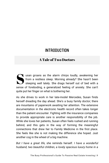# Introduction

## A Tale of Two Doctors

usan groans as the alarm chirps loudly, awakening her from a restless sleep. Morning already? She hasn't been sleeping well lately. She drags herself out of bed with a sense of foreboding, a generalized feeling of anxiety. She can't been<br>sleeping well lately. She drags herself out of bed with a<br>sense of foreboding, a generalized feeling of anxiety. She can't quite put her finger on what is bothering her.

As she drives to work in her late-model Mercedes, Susan finds herself dreading the day ahead. She's a busy family doctor; there are mountains of paperwork awaiting her attention. The extensive documentation in the electronic health record often takes longer than the patient encounter. Fighting with the insurance companies to provide appropriate care is another responsibility of the job. While she loves her patients, Susan often feels rushed and running behind, and this gets in the way of forming the meaningful connections that drew her to Family Medicine in the first place. She feels like she is not making the difference she hoped. Just another cog in the wheel of a big machine.

*But I have a great life,* she reminds herself. *I have a wonderful husband, two beautiful children, a lovely spacious luxury home in a*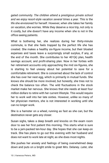*gated community. The children attend a prestigious private school and we enjoy resort-style vacation several times a year.* This is the life she envisioned for herself. However, when she takes her family on vacation, she worries. While they deserve a nice trip, not only is it costly, but she doesn't have any income when she is not in the office seeing patients.

What is bothering her, she realizes during her thirty-minute commute, is that she feels trapped by the perfect life she has created. She makes a healthy six-figure income, but their bloated expenses and taxes leave a surprisingly small surplus, if any, at the end of the month. She contributes to her 401(k) plan, health savings account, and profit-sharing plan. Now in her forties with her retirement accounts only approaching the mid six-figures, she is starting to feel uneasy about her potential to save for a comfortable retirement. She is concerned about the lack of control she has over her nest egg, which is primarily in mutual funds. She knows she should be more involved, but honestly, she tries not to check the balance too often. The wild fluctuations in the stock market make her nervous. She knows that she needs at least four million dollars to retire with her current lifestyle. This would require her to work well into her late sixties. However, unlike so many of her physician mentors, she is not interested in working until she can no longer work.

She is a hamster on a wheel, running as fast as she can, but the destination never gets any closer.

Susan sighs, takes a deep breath and knocks on the exam room door to see her first patient this morning. This starts what is sure to be a jam-packed ten-hour day. She hopes that she can keep on track. She has plans to go out this evening with her husband and does not want to work late at night, as she does most nights.

She pushes her anxiety and feelings of being overwhelmed deep down and puts on a bright smile to greet Mrs. Delaney. *Later,* she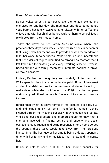thinks. *I'll worry about my future later*.

Denise wakes up as the sun peeks over the horizon, excited and energized for another day. She meditates and does some gentle yoga before her family awakens. She relaxes with her coffee and enjoys time with her children before walking them to school, just a few blocks from their modest home.

Today she drives to her Family Medicine clinic, where she practices three days each week. Denise realized early in her career that living below her means would provide her with the freedom to tailor her work life to her needs. While no slouch, she understands that her older colleagues identified so strongly as "doctor" that it left little time for anything else except working sixty-hour weeks. Spending time with family, meaningful interests, hobbies, or travel all took a backseat.

Instead, Denise has thoughtfully and carefully plotted her path. While spending less than she made, she paid off her high-interest student loan debt first, kept expenses low, and started investing in real estate. While she contributes to a 401(k) for the company match, any additional money is funneled into creating passive income.

Rather than invest in active forms of real estates like flips, buyand-hold single-family, or small multi-family homes, Denise skipped straight to investing passively in syndication real estate. While she loves real estate, she is smart enough to know that if she gets involved in finding, vetting and underwriting deals, overseeing construction, and being responsible for a home across the country, these tasks would take away from her precious limited time. The best use of her time is being a doctor, spending time with her family, and on activities that renew and invigorate her.

Denise is able to save \$100,000 of her income annually for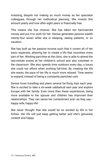investing, despite not making as much money as her specialist colleagues, through her methodical planning. She invests this amount yearly and now after eight years is financially free.

This means she has choices. She has taken her hard-earned money and put it to work for her. Denise generates passive wealth twenty-four seven while she is sleeping, seeing patients, or on vacation.

She has built up her passive income such that it covers all of her basic expenses, allowing her to create a life that nourishes every part of her. Working part-time at the clinic, she is able to attend the last-minute events at her children's school and also volunteer in the classroom. She also spends time outdoors every day, a luxury she could not afford when working full-time. By creating the life she wants, the pace of her life is much more relaxed. Time seems to expand, instead of being a constantly panicked rush.

Denise loves travelling and plans several far-flung trips each year. She is excited to take a six-week sabbatical next year and explore Europe with her family. Even more than these experiences, being more available to her spouse and children has improved their relationships. They can sense her contentment and—as they say happy wife, happy life!

She never thought that she would be so excited by life in her forties. Her life will just keep getting better and she's genuinely content and happy.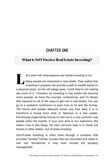# Chapter One

### What Is NOT Passive Real Estate Investing?

et's start with what passive real estate investing is *not*.

Many people are interested in real estate. They realize that investing in property can provide a path to wealth based on a physical asset. As the old adage goes, "Land, they're not making any more of it." However, as investing in real estate has become more popular, so have the courses, conferences, and TV shows that expound on all of the ways to get rich in real estate. You can go to a weekend conference to learn how to fix and flip homes. The Home and Garden Network shows you how easy it is to transform a house from drab to fabulous in a few weeks. Purchasing single-family homes to rent out is a very common way people enter the market. If your own area is too expensive, like where I live in San Diego, the next common step is to check out homes in other states—out-of-state investing. L

Out-of-state investing is often done through a company that provides "turnkey" homes: houses that are renovated and ready to rent out. Sometimes it may even include the property management.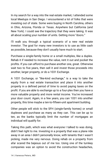In my search for a way into the real estate market, I attended some local Meetups in San Diego. I encountered a lot of folks that were investing out of state. Some were buying in North Carolina, others in Ohio, Arizona, Florida or Texas. Anywhere but California (and New York). I could see the trajectory that they were taking. It was all about scaling your number of units. Getting more "doors."

I'll walk you through a typical scenario of a new real estate investor. The goal for many new investors is to use as little cash as possible, because they don't usually have much to start.

Purchase a single-family home or a small multiplex, like a duplex. Rehab it if needed to increase the value, rent it out and pocket the profits. If you can afford to purchase another one, great. Otherwise wait two to five years, then sell it and invest those proceeds into another, larger property, or do a 1031 Exchange.

A 1031 Exchange, or "like-kind exchange," is a way to take the equity from a real estate transaction and place it into another property in a defined period of time to avoid paying taxes on the profit. If you are able to exchange up to a four-plex then you have a more valuable property and more rental income. You've increased your door count. Again, in a few years, you can 1031 into another property, this time maybe a ten-to-fifteen-unit apartment building.

Other people will stick to the SFH (single-family homes) or small duplexes and purchase as many as they can. This can be up to ten, as the banks typically limit the number of mortgages an individual will qualify for.

Taking this path, which was what everyone I talked to was doing, didn't feel right to me. Investing in a property that was a plane ride away in an area I didn't personally know, with tenants that I wasn't picking, made me very nervous. Doing rehab on a property from afar scared the bejesus out of me too. Using one of the turnkey companies was an option to avoid the construction headaches,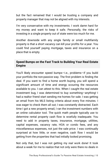but the fact remained that I would be trusting a company and property manager that may not be aligned with my interests.

I'm very conservative with my investments. I work damn hard for my money and want to keep it safe. Personally, the risks of investing in a single property out of state were too much for me.

Another downside with any single family or small multifamily property is that a short vacancy can kill your profits for a year. You could find yourself paying mortgage, taxes and insurance on a place that is empty.

#### **Speed Bumps on the Fast Track to Building Your Real Estate Empire**

You'll likely encounter speed bumps—i.e., problems—if you build your portfolio the non-passive way. The first problem is finding the deal. If you want to find a home worth buying, you will spend a significant amount of time and energy scouring the resources available to you. I can attest to this. When I caught the real estate investment bug, I was determined to buy something—anything! I had a realtor friend start sending me homes for sale. I was getting an email from his MLS listing criteria about every five minutes. I was eager to check them all out; I was constantly distracted. Each time I got a new property email, I ran the investment numbers with an online calculator tool. The quick math people typically use to determine rental property cash flow is woefully inadequate. You need to add in property taxes, insurance, mortgage, utilities, capital expenses, vacancy rate, HOA or condo fees, and any miscellaneous expenses, not just the sale price. I was continually surprised at how little, or even negative, cash flow I would be getting from the properties that had initially looked promising.

Not only that, but I was not getting my *real* work done! It took about a week for me to realize that not only were there no deals in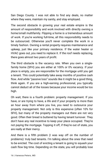San Diego County. I was not able to find any deals, no matter where they were, maintain my sanity, and stay employed.

The second obstacle in growing your real estate empire is the amount of responsibility and work involved with directly owning a home/small multifamily. Flipping a home is a tremendous amount of work. If you're working full-time, all this responsibility needs to be outsourced. Otherwise you'll never complete the work in a timely fashion. Owning a rental property requires maintenance and upkeep, just like your primary residence. If the water heater or HVAC goes out, you need to replace it. If the roof needs replacing, there goes almost two years of profit.

The third obstacle is the vacancy rate. When you own a singlefamily home (SFH) you are either at 100% or 0% vacancy. If your place is empty, you are responsible for the mortgage until you get a tenant. This could potentially take away months of positive cash flow. And while "passive loss" sounds like it might be a good thing, think again. If you are a high-earning professional, you typically cannot deduct all of the losses because your income would be too high.

Oh wait, there is a fourth problem: property management. If you have, or are trying to have, a life and if your property is more than an hour away from where you live, you need to outsource your property management. Not only is this expensive (often 10% for SFH), but many of the property managers out there are not very good. Often their bread is buttered by having tenant turnover. They don't have any real incentive to keep your place occupied. They're not paying the mortgage. Topping it off, if they're out of state, you are really at their mercy.

And there is a fifth problem (I was way off on the number of problems): truly bad tenants. I'm talking about the ones that need to be evicted. The cost of evicting a tenant is going to squash your cash flow big time. Depending on the state, you will probably lose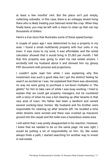at least a few months' rent. But the place isn't just empty, collecting cobwebs. In this case, there is an unhappy tenant living there who is likely treating your beloved rental like crap. When they finally leave, you may be left with a mess to clean up that can top thousands of dollars.

Here's a true story that illustrates some of these speed bumps:

A couple of years ago I was determined to buy a property in my area. I found a small multifamily property with four units in my town. It was close to my work, it was affordable, and the rental calculator showed that it would bring in \$1,063 per month. I felt that this property was going to start my real estate empire. I excitedly told my husband about it and showed him my glossy PDF document with pictures and projections.

I couldn't quite read him while I was explaining why this investment was such a good idea, but I got the distinct feeling he wasn't as excited as I was. He explained that there was absolutely no way we were going to purchase a run-down multiplex in "the ghetto" for him to take care of while I was busy working. I tried to explain that we could get property managers, but he countered with a story of when he was a kid cleaning up after tenants in that very area of town. His father had been a landlord and owned several working-class homes. My husband and his brother were responsible for cleaning up after tenants left. He recalled a time when tenants were evicted and there was crushed up macaroni ground into the carpet and the toilet was a hazardous waste area.

I will admit that I was pretty disappointed in his reaction. However, I knew that we needed to be on the same page. He was right, I would be putting a lot of responsibility on him. So, like water always finds a path, I started searching for another way to invest in real estate.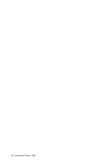18 | Vanessa Peters, MD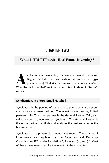# Chapter Two

## What Is TRULY Passive Real Estate Investing?

s I continued searching for ways to invest, I scoured Bigger Pockets, a real estate forum (www.bigger pockets.com). That site had several posts on *syndication*. S I continued searching for ways to invest, I scoured Bigger Pockets, a real estate forum (www.bigger pockets.com). That site had several posts on *syndication*. What the heck was that? As it turns out, it is not related t reruns.

#### **Syndication, in a Very Small Nutshell**

Syndication is the pooling of resources to purchase a large asset, such as an apartment building. The investors are passive, limited partners (LP). The other partner is the General Partner (GP), also called a sponsor, operator or syndicator. The General Partner is the active partner that finds and analyzes the deal and creates the business plan.

Syndications are private placement investments. These types of investments are regulated by the Securities and Exchange Commission (SEC) under Regulation D, Rules (a), (b), and (c). Most of these investments require the investor to be accredited.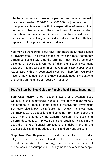To be an accredited investor, a person must have an annual income exceeding \$200,000, or \$300,000 for joint income, for the previous two years with the expectation of earning the same or higher income in the current year. A person is also considered an accredited investor if he has a net worth exceeding one million, either individually or jointly with his spouse, excluding their primary residence.

You may be wondering, "How have I not heard about these types of investments?" The laws associated with the most commonly structured deals state that the offering must not be generally solicited or advertised. On top of this, the issuer, investment advisor or the broker-dealer, must have a *pre-existing substantive relationship* with any accredited investors. Therefore, you really have to know someone who is knowledgeable about syndications or stumble on them through your own research.

#### **Dr. V's Step-by-Step Guide to Passive Real Estate Investing**

**Step One: Review.** Once I become aware of a potential deal, typically in the commercial niches of multifamily (apartments), self-storage, or mobile home parks, I receive the Investment Summary, also known as a "deck," for review. The investment summary is 20–30 pages long and contains information about the deal. This is created by the General Partners. The deck is a colorful document with photographs and graphics to explain the deal, the market, financial projections and debt financing, the business plan, and to introduce the GPs and previous projects.

**Step Two: Due Diligence.** The next step is to perform due diligence on the details outlined in the deck. Research the operators, market, the building, and review the financial projections and assumptions. I usually make a few calls to people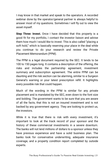I may know in that market and speak to the operators. A recorded webinar done by the operator/general partner is always helpful to answer most of my questions. Sometimes I will fly out to view the asset myself.

**Step Three: Invest.** Once I have decided that this property is a good fit for my portfolio, I contact the investor liaison and advise them how much I would like to invest. This is also called "placing a soft hold," which is basically reserving your place in the deal while you continue to do your research and review the Private Placement Memorandum (PPM).

The PPM is a legal document required by the SEC. It tends to be 100 to 150 pages long. It contains a description of the offering, the risks and includes the partnership agreement, investment summary and subscription agreement. The entire PPM can be daunting and the risk section can be alarming, similar to a Surgeon General's warning or your latest prescription refill. It highlights every possible risk that could happen.

Much of the wording in the PPM is similar for any private placement and is mandated by the SEC, even down to the font size and bolding. The government wants to be sure that you are aware of all the facts, that this is not an insured investment and is not backed by any government agency. They are looking to protect us, the investors.

While it is true that there is risk with every investment, it's important to look at the track record of your sponsor and the history of these commercial investments in a severe downturn. The banks will not lend millions of dollars to a sponsor unless they have previous experience and have a solid business plan. The banks look for conservative underwriting, adequate insurance coverage, and a property condition report completed by outside experts.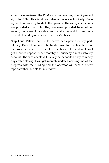After I have reviewed the PPM and completed my due diligence, I sign the PPM. This is almost always done electronically. Once signed, I can wire my funds to the operator. The wiring instructions are provided in the PPM. They are never provided by email for security purposes. It is safest and most expedient to wire funds instead of sending a personal or cashier's check.

**Step Four: Relax!** That's it for active participation on my part. Literally. Once I have wired the funds, I wait for a notification that the property has closed. Then I just sit back, relax, and smile as I get a direct deposit either monthly or quarterly directly into my account. The first check will usually be deposited sixty to ninety days after closing. I will get monthly updates advising me of the progress with the building and the operator will send quarterly reports with financials for my review.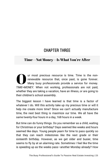# Chapter Three

## Time—Not Money—Is What You're After

ur most precious resource is time. Time is the nonrenewable resource that, once past, is gone forever. Many busy professionals provide a service for money. **TIME=MONEY.** When not working, professionals are not paid, whether they are taking a vacation, have an illness, or are going to their children's school assembly.

The biggest lesson I have learned is that time is a factor of whatever I do. Will this activity take up my precious time or will it help me create more time? Since we can't actually manufacture time, the next best thing is maximize our time. We all have the same twenty-four hours in a day, 168 hours in a week.

But time can do funny things. Do you remember as a child, waiting for Christmas or your birthday? Days seemed like weeks and hours seemed like days. Young people yearn for time to pass quickly so that they can reach milestones like the next grade or their sixteenth birthday. However, as we get older and busier, time seems to fly by at an alarming rate. Sometimes I feel like the time is speeding up as the weeks pass—another Monday already? How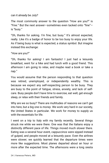can it already be July?

The most commonly answer to the question "How are you?" is "Fine." But the next answer—sometimes even tacked onto "fine" is "busy."

"Oh, thanks for asking. I'm fine, but busy." It's almost expected, really. Like it's a badge of honor to be too busy to enjoy your life. As if being busy is what is expected, a status symbol. But imagine instead this exchange:

"How are you?"

"Oh, thanks for asking! I am fantastic! I just had a leisurely breakfast, went for a hike and had lunch with a good friend. This afternoon I am going to relax, and maybe read a book or take a nap."

You would assume that the person responding to that question was retired, unemployed, or independently wealthy. This is because we expect any self-respecting person to be busy. They are busy to the point of fatigue, stress, anxiety, and lack of selfcare. Busy people don't have time to exercise, eat well, get enough sleep, or relax with their friends and family.

Why are we so busy? There are multitudes of reasons we can't get into here, but a big one is *money*. We work very hard in our society, the United States in particular. We work for money to supply us with the essentials for life.

I went on a trip to Italy with my family recently. Several things struck me while we were there. One was that the Italians enjoy a distinctly different pace of life. Things moved much slower there. Eating was a several hour event, cappuccinos were sipped instead of gulped, and people moved at a leisurely pace. Even the airlines were slower; we quickly learned that the departure times were more like suggestions. Most planes departed about an hour or more after the expected time. The afternoons were a long siesta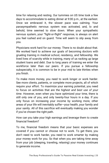time for relaxing and resting. Our tummies on US time took a few days to accommodate to eating dinner at 9:00 p.m., at the earliest. Once we embraced it, the slower pace was calming. Your parasympathetic nervous system was activated, and, lo and behold, time seemed to slow down. When your sympathetic nervous system, your "fight-or-flight" response, is always on alert you feel rushed and on guard. Time will seem to slip away from you.

Physicians work hard for our money. There is no doubt about that. We worked hard to achieve our goals of becoming doctors with grueling training in medical school, residency, and fellowship. We lived lives of scarcity while in training, many of us racking up large student loans and debt. Due to long years of training we enter the workforce later than our peers. If you pursue a fellowship subspecialty, it is common to be in your mid to late thirties when you finish.

To make more money, you need to work longer or work harder. See more clients, patients, or complete more projects, all of which require your effort. To maximize your earning potential, you need to focus on activities that are the *highest and best use of your time*. However, even when you have optimized your time, there is still only one of you, and only twenty-four hours in a day. If you only focus on increasing your income by working more, other areas of your life will inevitably suffer—your health, your family and your sanity. All of this sacrifice will eventually making you wonder if you've chosen the right path.

How can you take your high earnings and leverage them to create financial freedom?

To me, financial freedom means that your basic expenses are covered if you cannot or choose not to work. To get there, you don't need to work harder, you need to work smarter by making your money work for you. So that when you are taking time away from your job (sleeping, traveling, relaxing) your money continues to generate income.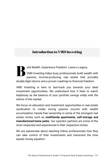## Introduction to VMD Investing

uild Wealth. Experience Freedom. Leave a Legacy. VMD Investing helps busy professionals build wealth with passive, income-producing real estate that provides double-digit returns and a proven roadmap to financial freedom. B

VMD Investing is here to fast-track you towards your ideal investment opportunities. We understand how it feels to watch helplessly as the balance of your portfolio swings wildly with the whims of the market.

We focus on education and investment opportunities in real estate syndication to create strong passive income with wealth accumulation, hassle-free ownership in some of the strongest real estate niches such as **multifamily apartments, self-storage and manufactured home parks**. Our operator partners are some of the most respected and experienced in their respective niches.

We are passionate about teaching fellow professionals how they can take control of their investments and transcend the time equals money equation.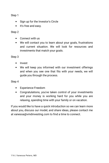Step 1

- Sign up for the Investor's Circle
- It's free and easy.

#### Step 2

- Connect with us
- We will contact you to learn about your goals, frustrations and current situation. We will look for resources and investments that match your goals.

Step 3

- Invest
- We will keep you informed with our investment offerings and when you see one that fits with your needs, we will guide you through the process.

#### Step 4

- Experience Freedom
- Congratulations, you've taken control of your investments and your money is working hard for you while you are relaxing, spending time with your family or on vacation.

If you would like to have a quick introduction so we can learn more about you, discuss our model, and share ideas, please contact me at vanessa@vmdinvesting.com to find a time to connect.